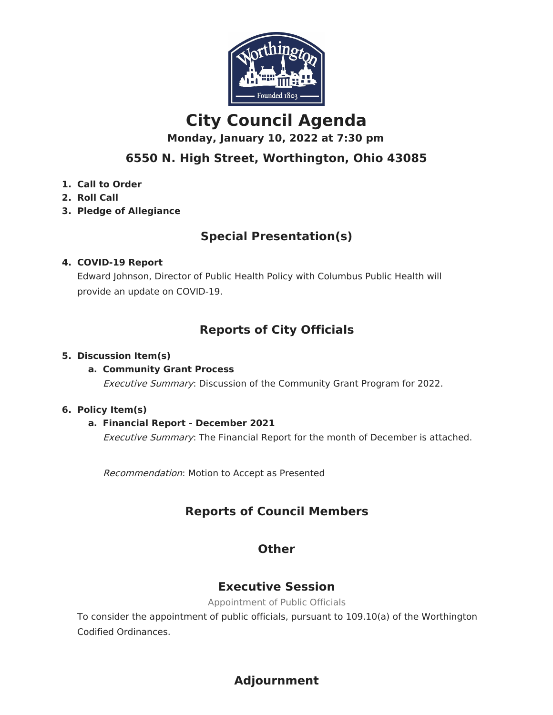

# **City Council Agenda**

**Monday, January 10, 2022 at 7:30 pm**

# **6550 N. High Street, Worthington, Ohio 43085**

- **1. Call to Order**
- **2. Roll Call**
- **3. Pledge of Allegiance**

# **Special Presentation(s)**

#### **4. COVID-19 Report**

Edward Johnson, Director of Public Health Policy with Columbus Public Health will provide an update on COVID-19.

# **Reports of City Officials**

#### **5. Discussion Item(s)**

#### **a. Community Grant Process**

Executive Summary: Discussion of the Community Grant Program for 2022.

#### **6. Policy Item(s)**

#### **a. Financial Report - December 2021**

**Executive Summary:** The Financial Report for the month of December is attached.

Recommendation: Motion to Accept as Presented

# **Reports of Council Members**

## **Other**

## **Executive Session**

Appointment of Public Officials

To consider the appointment of public officials, pursuant to 109.10(a) of the Worthington Codified Ordinances.

# **Adjournment**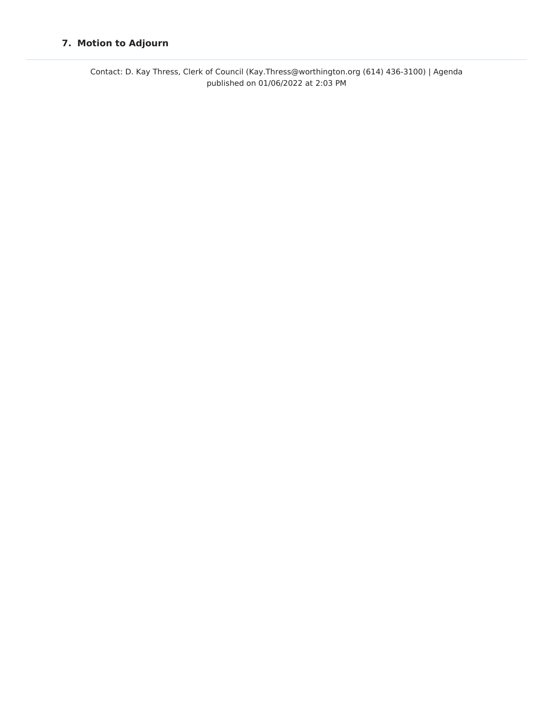#### **7. Motion to Adjourn**

Contact: D. Kay Thress, Clerk of Council (Kay.Thress@worthington.org (614) 436-3100) | Agenda published on 01/06/2022 at 2:03 PM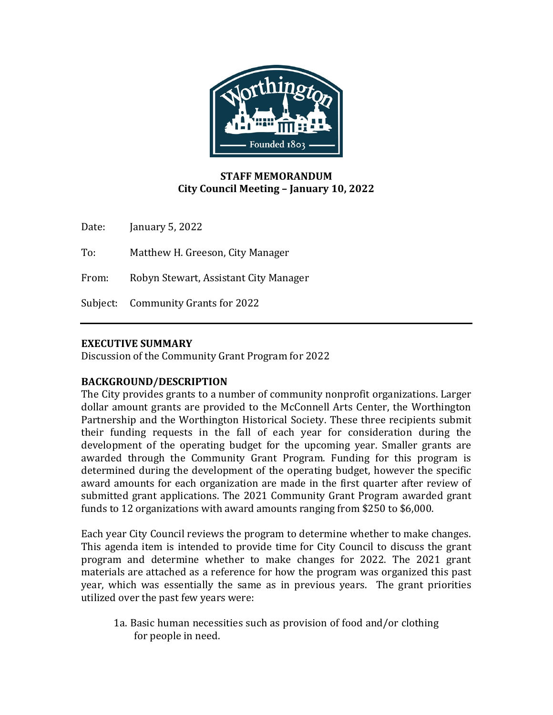

### **STAFF MEMORANDUM City Council Meeting – January 10, 2022**

Date: January 5, 2022

To: Matthew H. Greeson, City Manager

From: Robyn Stewart, Assistant City Manager

Subject: Community Grants for 2022

#### **EXECUTIVE SUMMARY**

Discussion of the Community Grant Program for 2022

#### **BACKGROUND/DESCRIPTION**

The City provides grants to a number of community nonprofit organizations. Larger dollar amount grants are provided to the McConnell Arts Center, the Worthington Partnership and the Worthington Historical Society. These three recipients submit their funding requests in the fall of each year for consideration during the development of the operating budget for the upcoming year. Smaller grants are awarded through the Community Grant Program. Funding for this program is determined during the development of the operating budget, however the specific award amounts for each organization are made in the first quarter after review of submitted grant applications. The 2021 Community Grant Program awarded grant funds to 12 organizations with award amounts ranging from \$250 to \$6,000.

Each year City Council reviews the program to determine whether to make changes. This agenda item is intended to provide time for City Council to discuss the grant program and determine whether to make changes for 2022. The 2021 grant materials are attached as a reference for how the program was organized this past year, which was essentially the same as in previous years. The grant priorities utilized over the past few years were:

1a. Basic human necessities such as provision of food and/or clothing for people in need.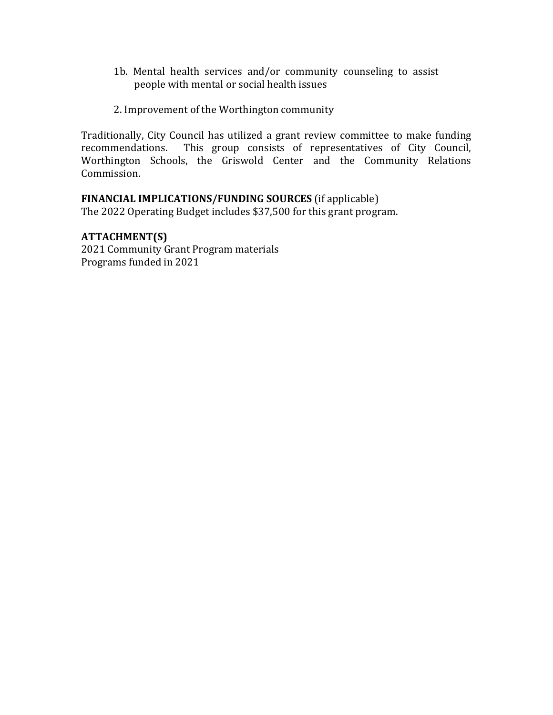- 1b. Mental health services and/or community counseling to assist people with mental or social health issues
- 2. Improvement of the Worthington community

Traditionally, City Council has utilized a grant review committee to make funding recommendations. This group consists of representatives of City Council, This group consists of representatives of City Council, Worthington Schools, the Griswold Center and the Community Relations Commission.

### **FINANCIAL IMPLICATIONS/FUNDING SOURCES** (if applicable)

The 2022 Operating Budget includes \$37,500 for this grant program.

#### **ATTACHMENT(S)**

2021 Community Grant Program materials Programs funded in 2021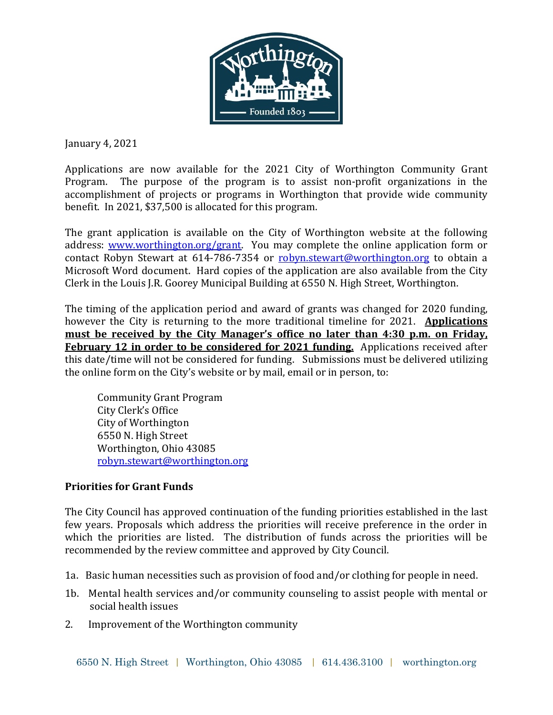

January 4, 2021

Applications are now available for the 2021 City of Worthington Community Grant Program. The purpose of the program is to assist non-profit organizations in the accomplishment of projects or programs in Worthington that provide wide community benefit. In 2021, \$37,500 is allocated for this program.

The grant application is available on the City of Worthington website at the following address: [www.worthington.org/grant.](http://www.worthington.org/grant) You may complete the online application form or contact Robyn Stewart at 614-786-7354 or [robyn.stewart@worthington.org](mailto:robyn.stewart@worthington.org) to obtain a Microsoft Word document. Hard copies of the application are also available from the City Clerk in the Louis J.R. Goorey Municipal Building at 6550 N. High Street, Worthington.

The timing of the application period and award of grants was changed for 2020 funding, however the City is returning to the more traditional timeline for 2021. **Applications must be received by the City Manager's office no later than 4:30 p.m. on Friday, February 12 in order to be considered for 2021 funding.** Applications received after this date/time will not be considered for funding. Submissions must be delivered utilizing the online form on the City's website or by mail, email or in person, to:

Community Grant Program City Clerk's Office City of Worthington 6550 N. High Street Worthington, Ohio 43085 [robyn.stewart@worthington.org](mailto:robyn.stewart@worthington.org)

### **Priorities for Grant Funds**

The City Council has approved continuation of the funding priorities established in the last few years. Proposals which address the priorities will receive preference in the order in which the priorities are listed. The distribution of funds across the priorities will be recommended by the review committee and approved by City Council.

- 1a. Basic human necessities such as provision of food and/or clothing for people in need.
- 1b. Mental health services and/or community counseling to assist people with mental or social health issues
- 2. Improvement of the Worthington community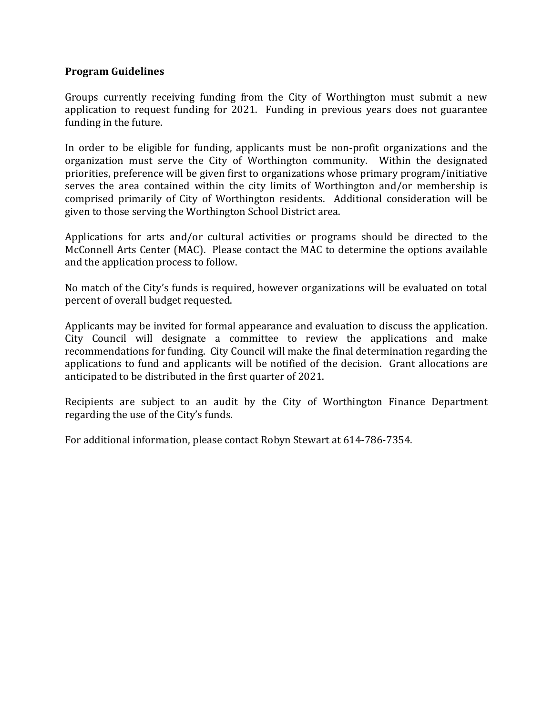#### **Program Guidelines**

Groups currently receiving funding from the City of Worthington must submit a new application to request funding for 2021. Funding in previous years does not guarantee funding in the future.

In order to be eligible for funding, applicants must be non-profit organizations and the organization must serve the City of Worthington community. Within the designated priorities, preference will be given first to organizations whose primary program/initiative serves the area contained within the city limits of Worthington and/or membership is comprised primarily of City of Worthington residents. Additional consideration will be given to those serving the Worthington School District area.

Applications for arts and/or cultural activities or programs should be directed to the McConnell Arts Center (MAC). Please contact the MAC to determine the options available and the application process to follow.

No match of the City's funds is required, however organizations will be evaluated on total percent of overall budget requested.

Applicants may be invited for formal appearance and evaluation to discuss the application. City Council will designate a committee to review the applications and make recommendations for funding. City Council will make the final determination regarding the applications to fund and applicants will be notified of the decision. Grant allocations are anticipated to be distributed in the first quarter of 2021.

Recipients are subject to an audit by the City of Worthington Finance Department regarding the use of the City's funds.

For additional information, please contact Robyn Stewart at 614-786-7354.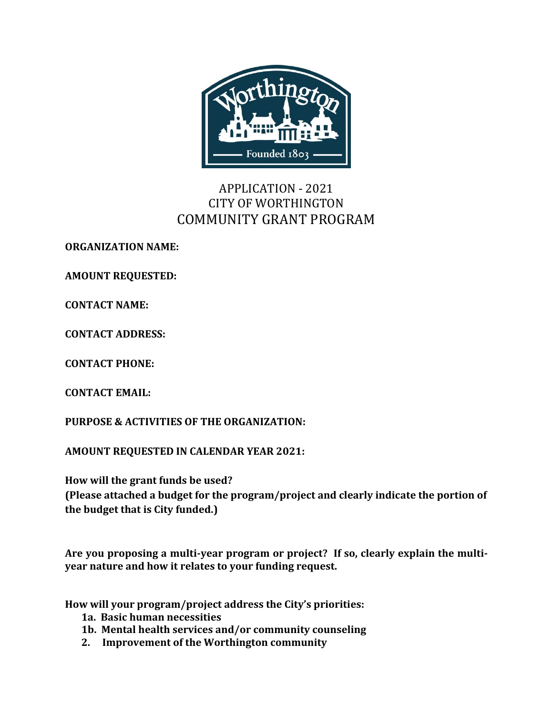

# APPLICATION - 2021 CITY OF WORTHINGTON COMMUNITY GRANT PROGRAM

**ORGANIZATION NAME:** 

**AMOUNT REQUESTED:**

**CONTACT NAME:**

**CONTACT ADDRESS:**

**CONTACT PHONE:**

**CONTACT EMAIL:**

**PURPOSE & ACTIVITIES OF THE ORGANIZATION:** 

**AMOUNT REQUESTED IN CALENDAR YEAR 2021:**

**How will the grant funds be used?**

**(Please attached a budget for the program/project and clearly indicate the portion of the budget that is City funded.)**

**Are you proposing a multi-year program or project? If so, clearly explain the multiyear nature and how it relates to your funding request.** 

**How will your program/project address the City's priorities:**

- **1a. Basic human necessities**
- **1b. Mental health services and/or community counseling**
- **2. Improvement of the Worthington community**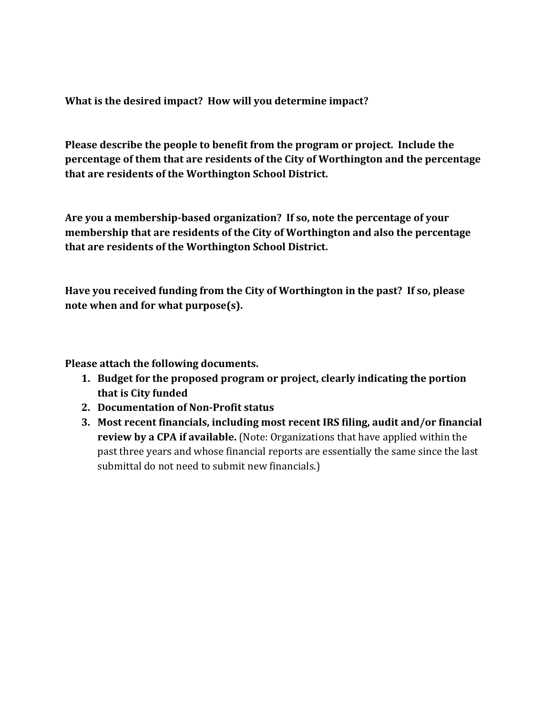**What is the desired impact? How will you determine impact?**

**Please describe the people to benefit from the program or project. Include the percentage of them that are residents of the City of Worthington and the percentage that are residents of the Worthington School District.**

**Are you a membership-based organization? If so, note the percentage of your membership that are residents of the City of Worthington and also the percentage that are residents of the Worthington School District.**

**Have you received funding from the City of Worthington in the past? If so, please note when and for what purpose(s).**

**Please attach the following documents.**

- **1. Budget for the proposed program or project, clearly indicating the portion that is City funded**
- **2. Documentation of Non-Profit status**
- **3. Most recent financials, including most recent IRS filing, audit and/or financial review by a CPA if available.** (Note: Organizations that have applied within the past three years and whose financial reports are essentially the same since the last submittal do not need to submit new financials.)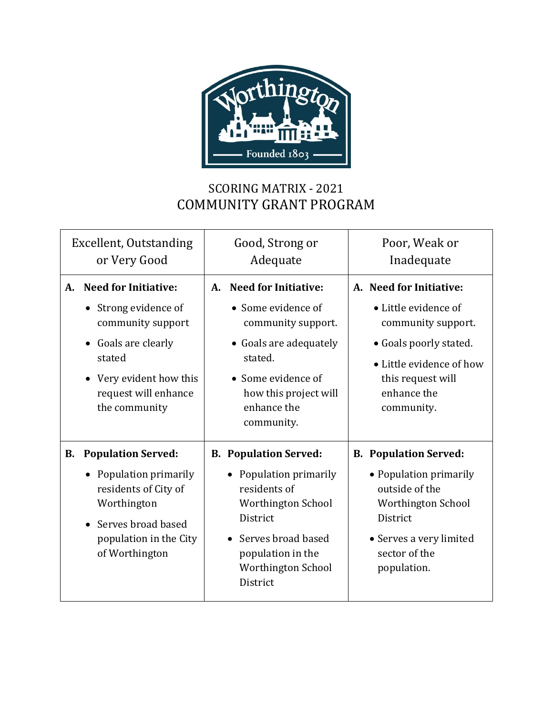

# SCORING MATRIX - 2021 COMMUNITY GRANT PROGRAM

| Excellent, Outstanding<br>or Very Good                                                                                                                                              | Good, Strong or<br>Adequate                                                                                                                                                                      | Poor, Weak or<br>Inadequate                                                                                                                                                   |
|-------------------------------------------------------------------------------------------------------------------------------------------------------------------------------------|--------------------------------------------------------------------------------------------------------------------------------------------------------------------------------------------------|-------------------------------------------------------------------------------------------------------------------------------------------------------------------------------|
| <b>Need for Initiative:</b><br>A.<br>• Strong evidence of<br>community support<br>• Goals are clearly<br>stated<br>• Very evident how this<br>request will enhance<br>the community | <b>Need for Initiative:</b><br>A.<br>• Some evidence of<br>community support.<br>• Goals are adequately<br>stated.<br>• Some evidence of<br>how this project will<br>enhance the<br>community.   | A. Need for Initiative:<br>• Little evidence of<br>community support.<br>• Goals poorly stated.<br>• Little evidence of how<br>this request will<br>enhance the<br>community. |
| <b>Population Served:</b><br>В.<br>• Population primarily<br>residents of City of<br>Worthington<br>Serves broad based<br>population in the City<br>of Worthington                  | <b>B. Population Served:</b><br>Population primarily<br>$\bullet$<br>residents of<br>Worthington School<br>District<br>Serves broad based<br>population in the<br>Worthington School<br>District | <b>B. Population Served:</b><br>• Population primarily<br>outside of the<br>Worthington School<br>District<br>• Serves a very limited<br>sector of the<br>population.         |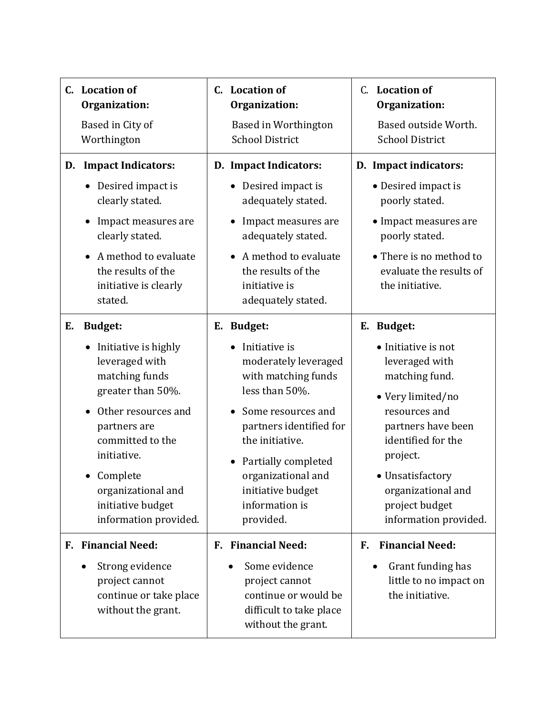| C. Location of<br>Organization:<br>Based in City of<br>Worthington                                                                                                                                                                                                           | C. Location of<br>Organization:<br>Based in Worthington<br><b>School District</b>                                                                                                                                                                                 | C. Location of<br>Organization:<br>Based outside Worth.<br><b>School District</b>                                                                                                                                                                        |
|------------------------------------------------------------------------------------------------------------------------------------------------------------------------------------------------------------------------------------------------------------------------------|-------------------------------------------------------------------------------------------------------------------------------------------------------------------------------------------------------------------------------------------------------------------|----------------------------------------------------------------------------------------------------------------------------------------------------------------------------------------------------------------------------------------------------------|
| <b>Impact Indicators:</b><br>D.<br>• Desired impact is<br>clearly stated.<br>Impact measures are<br>clearly stated.<br>A method to evaluate<br>the results of the<br>initiative is clearly<br>stated.                                                                        | D. Impact Indicators:<br>Desired impact is<br>adequately stated.<br>Impact measures are<br>adequately stated.<br>A method to evaluate<br>the results of the<br>initiative is<br>adequately stated.                                                                | D. Impact indicators:<br>• Desired impact is<br>poorly stated.<br>• Impact measures are<br>poorly stated.<br>• There is no method to<br>evaluate the results of<br>the initiative.                                                                       |
| <b>Budget:</b><br>Е.<br>Initiative is highly<br>$\bullet$<br>leveraged with<br>matching funds<br>greater than 50%.<br>Other resources and<br>partners are<br>committed to the<br>initiative.<br>Complete<br>organizational and<br>initiative budget<br>information provided. | E. Budget:<br>Initiative is<br>moderately leveraged<br>with matching funds<br>less than 50%.<br>Some resources and<br>partners identified for<br>the initiative.<br>Partially completed<br>organizational and<br>initiative budget<br>information is<br>provided. | E. Budget:<br>• Initiative is not<br>leveraged with<br>matching fund.<br>• Very limited/no<br>resources and<br>partners have been<br>identified for the<br>project.<br>• Unsatisfactory<br>organizational and<br>project budget<br>information provided. |
| F. Financial Need:<br>Strong evidence<br>$\bullet$<br>project cannot<br>continue or take place<br>without the grant.                                                                                                                                                         | <b>F. Financial Need:</b><br>Some evidence<br>project cannot<br>continue or would be<br>difficult to take place<br>without the grant.                                                                                                                             | <b>Financial Need:</b><br>F.<br>Grant funding has<br>little to no impact on<br>the initiative.                                                                                                                                                           |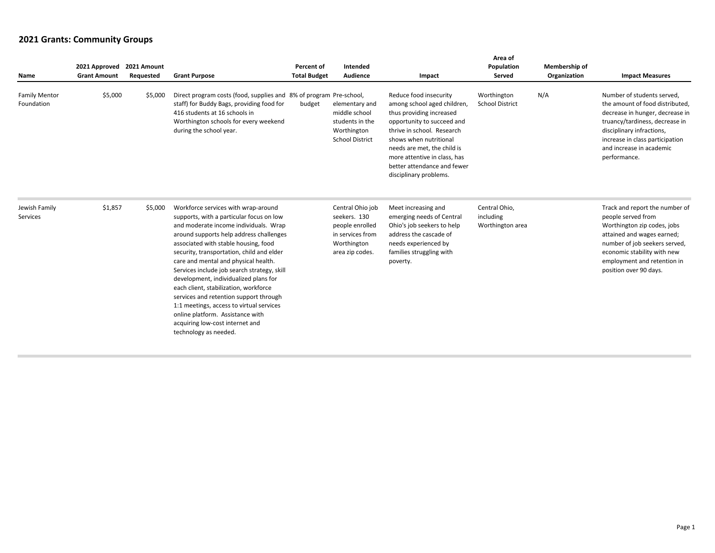| Name                               | 2021 Approved 2021 Amount<br><b>Grant Amount</b> | Requested | <b>Grant Purpose</b>                                                                                                                                                                                                                                                                                                                                                                                                                                                                                                                                                                                                    | Percent of<br><b>Total Budget</b> | Intended<br>Audience                                                                                      | Impact                                                                                                                                                                                                                                                                                          | Area of<br>Population<br>Served                | Membership of<br>Organization | <b>Impact Measures</b>                                                                                                                                                                                                                         |
|------------------------------------|--------------------------------------------------|-----------|-------------------------------------------------------------------------------------------------------------------------------------------------------------------------------------------------------------------------------------------------------------------------------------------------------------------------------------------------------------------------------------------------------------------------------------------------------------------------------------------------------------------------------------------------------------------------------------------------------------------------|-----------------------------------|-----------------------------------------------------------------------------------------------------------|-------------------------------------------------------------------------------------------------------------------------------------------------------------------------------------------------------------------------------------------------------------------------------------------------|------------------------------------------------|-------------------------------|------------------------------------------------------------------------------------------------------------------------------------------------------------------------------------------------------------------------------------------------|
| <b>Family Mentor</b><br>Foundation | \$5,000                                          | \$5,000   | Direct program costs (food, supplies and 8% of program Pre-school,<br>staff) for Buddy Bags, providing food for<br>416 students at 16 schools in<br>Worthington schools for every weekend<br>during the school year.                                                                                                                                                                                                                                                                                                                                                                                                    | budget                            | elementary and<br>middle school<br>students in the<br>Worthington<br><b>School District</b>               | Reduce food insecurity<br>among school aged children,<br>thus providing increased<br>opportunity to succeed and<br>thrive in school. Research<br>shows when nutritional<br>needs are met, the child is<br>more attentive in class, has<br>better attendance and fewer<br>disciplinary problems. | Worthington<br><b>School District</b>          | N/A                           | Number of students served.<br>the amount of food distributed,<br>decrease in hunger, decrease in<br>truancy/tardiness, decrease in<br>disciplinary infractions,<br>increase in class participation<br>and increase in academic<br>performance. |
| Jewish Family<br>Services          | \$1,857                                          | \$5,000   | Workforce services with wrap-around<br>supports, with a particular focus on low<br>and moderate income individuals. Wrap<br>around supports help address challenges<br>associated with stable housing, food<br>security, transportation, child and elder<br>care and mental and physical health.<br>Services include job search strategy, skill<br>development, individualized plans for<br>each client, stabilization, workforce<br>services and retention support through<br>1:1 meetings, access to virtual services<br>online platform. Assistance with<br>acquiring low-cost internet and<br>technology as needed. |                                   | Central Ohio job<br>seekers. 130<br>people enrolled<br>in services from<br>Worthington<br>area zip codes. | Meet increasing and<br>emerging needs of Central<br>Ohio's job seekers to help<br>address the cascade of<br>needs experienced by<br>families struggling with<br>poverty.                                                                                                                        | Central Ohio,<br>including<br>Worthington area |                               | Track and report the number of<br>people served from<br>Worthington zip codes, jobs<br>attained and wages earned;<br>number of job seekers served,<br>economic stability with new<br>employment and retention in<br>position over 90 days.     |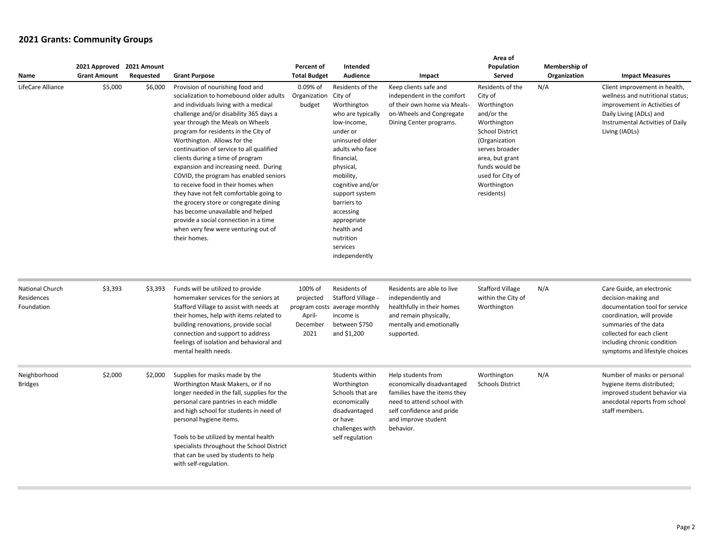| Name                                        | 2021 Approved 2021 Amount<br><b>Grant Amount</b> | Requested | <b>Grant Purpose</b>                                                                                                                                                                                                                                                                                                                                                                                                                                                                                                                                                                                                                                                                                          | Percent of<br><b>Total Budget</b>                  | Intended<br><b>Audience</b>                                                                                                                                                                                                                                                                                       | Impact                                                                                                                                                                          | Area of<br>Population<br>Served                                                                                                                                                                                            | Membership of<br>Organization | <b>Impact Measures</b>                                                                                                                                                                                                                  |
|---------------------------------------------|--------------------------------------------------|-----------|---------------------------------------------------------------------------------------------------------------------------------------------------------------------------------------------------------------------------------------------------------------------------------------------------------------------------------------------------------------------------------------------------------------------------------------------------------------------------------------------------------------------------------------------------------------------------------------------------------------------------------------------------------------------------------------------------------------|----------------------------------------------------|-------------------------------------------------------------------------------------------------------------------------------------------------------------------------------------------------------------------------------------------------------------------------------------------------------------------|---------------------------------------------------------------------------------------------------------------------------------------------------------------------------------|----------------------------------------------------------------------------------------------------------------------------------------------------------------------------------------------------------------------------|-------------------------------|-----------------------------------------------------------------------------------------------------------------------------------------------------------------------------------------------------------------------------------------|
| LifeCare Alliance                           | \$5,000                                          | \$6,000   | Provision of nourishing food and<br>socialization to homebound older adults<br>and individuals living with a medical<br>challenge and/or disability 365 days a<br>year through the Meals on Wheels<br>program for residents in the City of<br>Worthington. Allows for the<br>continuation of service to all qualified<br>clients during a time of program<br>expansion and increasing need. During<br>COVID, the program has enabled seniors<br>to receive food in their homes when<br>they have not felt comfortable going to<br>the grocery store or congregate dining<br>has become unavailable and helped<br>provide a social connection in a time<br>when very few were venturing out of<br>their homes. | 0.09% of<br>Organization<br>budget                 | Residents of the<br>City of<br>Worthington<br>who are typically<br>low-income,<br>under or<br>uninsured older<br>adults who face<br>financial.<br>physical,<br>mobility,<br>cognitive and/or<br>support system<br>barriers to<br>accessing<br>appropriate<br>health and<br>nutrition<br>services<br>independently | Keep clients safe and<br>independent in the comfort<br>of their own home via Meals-<br>on-Wheels and Congregate<br>Dining Center programs.                                      | Residents of the<br>City of<br>Worthington<br>and/or the<br>Worthington<br><b>School District</b><br>(Organization<br>serves broader<br>area, but grant<br>funds would be<br>used for City of<br>Worthington<br>residents) | N/A                           | Client improvement in health,<br>wellness and nutritional status;<br>improvement in Activities of<br>Daily Living (ADLs) and<br>Instrumental Activities of Daily<br>Living (IADLs)                                                      |
| National Church<br>Residences<br>Foundation | \$3,393                                          | \$3,393   | Funds will be utilized to provide<br>homemaker services for the seniors at<br>Stafford Village to assist with needs at<br>their homes, help with items related to<br>building renovations, provide social<br>connection and support to address<br>feelings of isolation and behavioral and<br>mental health needs.                                                                                                                                                                                                                                                                                                                                                                                            | 100% of<br>projected<br>April-<br>December<br>2021 | Residents of<br>Stafford Village -<br>program costs average monthly<br>income is<br>between \$750<br>and \$1,200                                                                                                                                                                                                  | Residents are able to live<br>independently and<br>healthfully in their homes<br>and remain physically,<br>mentally and emotionally<br>supported.                               | <b>Stafford Village</b><br>within the City of<br>Worthington                                                                                                                                                               | N/A                           | Care Guide, an electronic<br>decision-making and<br>documentation tool for service<br>coordination, will provide<br>summaries of the data<br>collected for each client<br>including chronic condition<br>symptoms and lifestyle choices |
| Neighborhood<br><b>Bridges</b>              | \$2,000                                          | \$2,000   | Supplies for masks made by the<br>Worthington Mask Makers, or if no<br>longer needed in the fall, supplies for the<br>personal care pantries in each middle<br>and high school for students in need of<br>personal hygiene items.<br>Tools to be utilized by mental health<br>specialists throughout the School District<br>that can be used by students to help<br>with self-regulation.                                                                                                                                                                                                                                                                                                                     |                                                    | Students within<br>Worthington<br>Schools that are<br>economically<br>disadvantaged<br>or have<br>challenges with<br>self regulation                                                                                                                                                                              | Help students from<br>economically disadvantaged<br>families have the items they<br>need to attend school with<br>self confidence and pride<br>and improve student<br>behavior. | Worthington<br><b>Schools District</b>                                                                                                                                                                                     | N/A                           | Number of masks or personal<br>hygiene items distributed;<br>improved student behavior via<br>anecdotal reports from school<br>staff members.                                                                                           |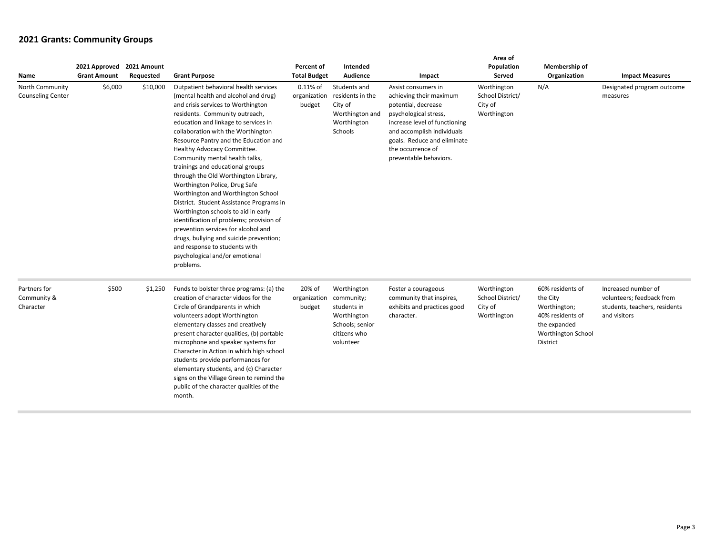| Name                                        | 2021 Approved<br><b>Grant Amount</b> | 2021 Amount<br>Requested | <b>Grant Purpose</b>                                                                                                                                                                                                                                                                                                                                                                                                                                                                                                                                                                                                                                                                                                                                                                              | Percent of<br><b>Total Budget</b>           | Intended<br>Audience                                                                      | Impact                                                                                                                                                                                                                                      | Area of<br>Population<br>Served                           | Membership of<br>Organization                                                                                      | <b>Impact Measures</b>                                                                            |
|---------------------------------------------|--------------------------------------|--------------------------|---------------------------------------------------------------------------------------------------------------------------------------------------------------------------------------------------------------------------------------------------------------------------------------------------------------------------------------------------------------------------------------------------------------------------------------------------------------------------------------------------------------------------------------------------------------------------------------------------------------------------------------------------------------------------------------------------------------------------------------------------------------------------------------------------|---------------------------------------------|-------------------------------------------------------------------------------------------|---------------------------------------------------------------------------------------------------------------------------------------------------------------------------------------------------------------------------------------------|-----------------------------------------------------------|--------------------------------------------------------------------------------------------------------------------|---------------------------------------------------------------------------------------------------|
| North Community<br><b>Counseling Center</b> | \$6,000                              | \$10,000                 | Outpatient behavioral health services<br>(mental health and alcohol and drug)<br>and crisis services to Worthington<br>residents. Community outreach,<br>education and linkage to services in<br>collaboration with the Worthington<br>Resource Pantry and the Education and<br>Healthy Advocacy Committee.<br>Community mental health talks,<br>trainings and educational groups<br>through the Old Worthington Library,<br>Worthington Police, Drug Safe<br>Worthington and Worthington School<br>District. Student Assistance Programs in<br>Worthington schools to aid in early<br>identification of problems; provision of<br>prevention services for alcohol and<br>drugs, bullying and suicide prevention;<br>and response to students with<br>psychological and/or emotional<br>problems. | $0.11\%$ of<br>organization<br>budget       | Students and<br>residents in the<br>City of<br>Worthington and<br>Worthington<br>Schools  | Assist consumers in<br>achieving their maximum<br>potential, decrease<br>psychological stress,<br>increase level of functioning<br>and accomplish individuals<br>goals. Reduce and eliminate<br>the occurrence of<br>preventable behaviors. | Worthington<br>School District/<br>City of<br>Worthington | N/A                                                                                                                | Designated program outcome<br>measures                                                            |
| Partners for<br>Community &<br>Character    | \$500                                | \$1,250                  | Funds to bolster three programs: (a) the<br>creation of character videos for the<br>Circle of Grandparents in which<br>volunteers adopt Worthington<br>elementary classes and creatively<br>present character qualities, (b) portable<br>microphone and speaker systems for<br>Character in Action in which high school<br>students provide performances for<br>elementary students, and (c) Character<br>signs on the Village Green to remind the<br>public of the character qualities of the<br>month.                                                                                                                                                                                                                                                                                          | 20% of<br>organization community;<br>budget | Worthington<br>students in<br>Worthington<br>Schools; senior<br>citizens who<br>volunteer | Foster a courageous<br>community that inspires,<br>exhibits and practices good<br>character.                                                                                                                                                | Worthington<br>School District/<br>City of<br>Worthington | 60% residents of<br>the City<br>Worthington;<br>40% residents of<br>the expanded<br>Worthington School<br>District | Increased number of<br>volunteers; feedback from<br>students, teachers, residents<br>and visitors |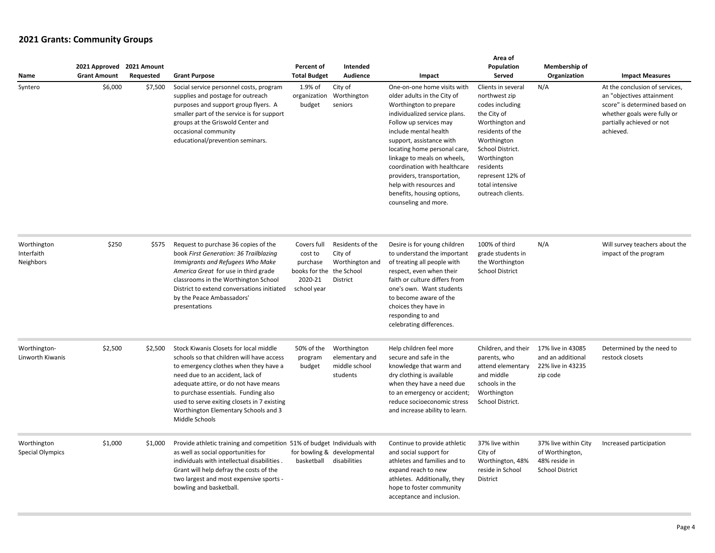| Name                                   | 2021 Approved 2021 Amount<br><b>Grant Amount</b> | Requested | <b>Grant Purpose</b>                                                                                                                                                                                                                                                                                                                                       | Percent of<br><b>Total Budget</b>                                                        | Intended<br>Audience                                              | Impact                                                                                                                                                                                                                                                                                                                                                                                                             | Area of<br>Population<br>Served                                                                                                                                                                                                         | Membership of<br>Organization                                                      | <b>Impact Measures</b>                                                                                                                                                |
|----------------------------------------|--------------------------------------------------|-----------|------------------------------------------------------------------------------------------------------------------------------------------------------------------------------------------------------------------------------------------------------------------------------------------------------------------------------------------------------------|------------------------------------------------------------------------------------------|-------------------------------------------------------------------|--------------------------------------------------------------------------------------------------------------------------------------------------------------------------------------------------------------------------------------------------------------------------------------------------------------------------------------------------------------------------------------------------------------------|-----------------------------------------------------------------------------------------------------------------------------------------------------------------------------------------------------------------------------------------|------------------------------------------------------------------------------------|-----------------------------------------------------------------------------------------------------------------------------------------------------------------------|
| Syntero                                | \$6,000                                          | \$7,500   | Social service personnel costs, program<br>supplies and postage for outreach<br>purposes and support group flyers. A<br>smaller part of the service is for support<br>groups at the Griswold Center and<br>occasional community<br>educational/prevention seminars.                                                                                        | 1.9% of<br>organization<br>budget                                                        | City of<br>Worthington<br>seniors                                 | One-on-one home visits with<br>older adults in the City of<br>Worthington to prepare<br>individualized service plans.<br>Follow up services may<br>include mental health<br>support, assistance with<br>locating home personal care,<br>linkage to meals on wheels,<br>coordination with healthcare<br>providers, transportation,<br>help with resources and<br>benefits, housing options,<br>counseling and more. | Clients in several<br>northwest zip<br>codes including<br>the City of<br>Worthington and<br>residents of the<br>Worthington<br>School District.<br>Worthington<br>residents<br>represent 12% of<br>total intensive<br>outreach clients. | N/A                                                                                | At the conclusion of services,<br>an "objectives attainment<br>score" is determined based on<br>whether goals were fully or<br>partially achieved or not<br>achieved. |
| Worthington<br>Interfaith<br>Neighbors | \$250                                            | \$575     | Request to purchase 36 copies of the<br>book First Generation: 36 Trailblazing<br>Immigrants and Refugees Who Make<br>America Great for use in third grade<br>classrooms in the Worthington School<br>District to extend conversations initiated<br>by the Peace Ambassadors'<br>presentations                                                             | Covers full<br>cost to<br>purchase<br>books for the the School<br>2020-21<br>school year | Residents of the<br>City of<br>Worthington and<br><b>District</b> | Desire is for young children<br>to understand the important<br>of treating all people with<br>respect, even when their<br>faith or culture differs from<br>one's own. Want students<br>to become aware of the<br>choices they have in<br>responding to and<br>celebrating differences.                                                                                                                             | 100% of third<br>grade students in<br>the Worthington<br><b>School District</b>                                                                                                                                                         | N/A                                                                                | Will survey teachers about the<br>impact of the program                                                                                                               |
| Worthington-<br>Linworth Kiwanis       | \$2,500                                          | \$2,500   | Stock Kiwanis Closets for local middle<br>schools so that children will have access<br>to emergency clothes when they have a<br>need due to an accident, lack of<br>adequate attire, or do not have means<br>to purchase essentials. Funding also<br>used to serve exiting closets in 7 existing<br>Worthington Elementary Schools and 3<br>Middle Schools | 50% of the<br>program<br>budget                                                          | Worthington<br>elementary and<br>middle school<br>students        | Help children feel more<br>secure and safe in the<br>knowledge that warm and<br>dry clothing is available<br>when they have a need due<br>to an emergency or accident;<br>reduce socioeconomic stress<br>and increase ability to learn.                                                                                                                                                                            | Children, and their<br>parents, who<br>attend elementary<br>and middle<br>schools in the<br>Worthington<br>School District.                                                                                                             | 17% live in 43085<br>and an additional<br>22% live in 43235<br>zip code            | Determined by the need to<br>restock closets                                                                                                                          |
| Worthington<br><b>Special Olympics</b> | \$1,000                                          | \$1,000   | Provide athletic training and competition 51% of budget Individuals with<br>as well as social opportunities for<br>individuals with intellectual disabilities.<br>Grant will help defray the costs of the<br>two largest and most expensive sports -<br>bowling and basketball.                                                                            | basketball                                                                               | for bowling & developmental<br>disabilities                       | Continue to provide athletic<br>and social support for<br>athletes and families and to<br>expand reach to new<br>athletes. Additionally, they<br>hope to foster community<br>acceptance and inclusion.                                                                                                                                                                                                             | 37% live within<br>City of<br>Worthington, 48%<br>reside in School<br>District                                                                                                                                                          | 37% live within City<br>of Worthington,<br>48% reside in<br><b>School District</b> | Increased participation                                                                                                                                               |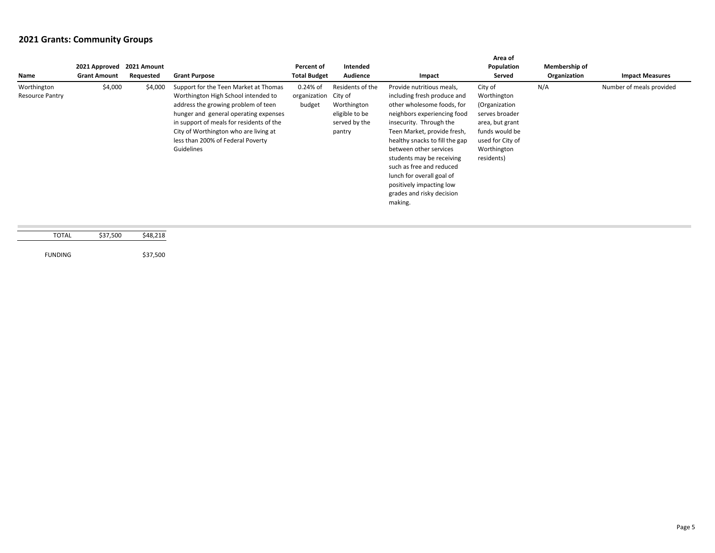| Name                                  | 2021 Approved 2021 Amount<br><b>Grant Amount</b> | Requested | <b>Grant Purpose</b>                                                                                                                                                                                                                                                                                 | Percent of<br><b>Total Budget</b>            | Intended<br>Audience                                                         | Impact                                                                                                                                                                                                                                                                                                                                                                                                | Area of<br>Population<br>Served                                                                                                                 | Membership of<br>Organization | <b>Impact Measures</b>   |
|---------------------------------------|--------------------------------------------------|-----------|------------------------------------------------------------------------------------------------------------------------------------------------------------------------------------------------------------------------------------------------------------------------------------------------------|----------------------------------------------|------------------------------------------------------------------------------|-------------------------------------------------------------------------------------------------------------------------------------------------------------------------------------------------------------------------------------------------------------------------------------------------------------------------------------------------------------------------------------------------------|-------------------------------------------------------------------------------------------------------------------------------------------------|-------------------------------|--------------------------|
| Worthington<br><b>Resource Pantry</b> | \$4,000                                          | \$4,000   | Support for the Teen Market at Thomas<br>Worthington High School intended to<br>address the growing problem of teen<br>hunger and general operating expenses<br>in support of meals for residents of the<br>City of Worthington who are living at<br>less than 200% of Federal Poverty<br>Guidelines | $0.24%$ of<br>organization City of<br>budget | Residents of the<br>Worthington<br>eligible to be<br>served by the<br>pantry | Provide nutritious meals,<br>including fresh produce and<br>other wholesome foods, for<br>neighbors experiencing food<br>insecurity. Through the<br>Teen Market, provide fresh,<br>healthy snacks to fill the gap<br>between other services<br>students may be receiving<br>such as free and reduced<br>lunch for overall goal of<br>positively impacting low<br>grades and risky decision<br>making. | City of<br>Worthington<br>(Organization<br>serves broader<br>area, but grant<br>funds would be<br>used for City of<br>Worthington<br>residents) | N/A                           | Number of meals provided |

| TOTAL          | \$37,500 | \$48,218 |
|----------------|----------|----------|
|                |          |          |
| <b>FUNDING</b> |          | \$37,500 |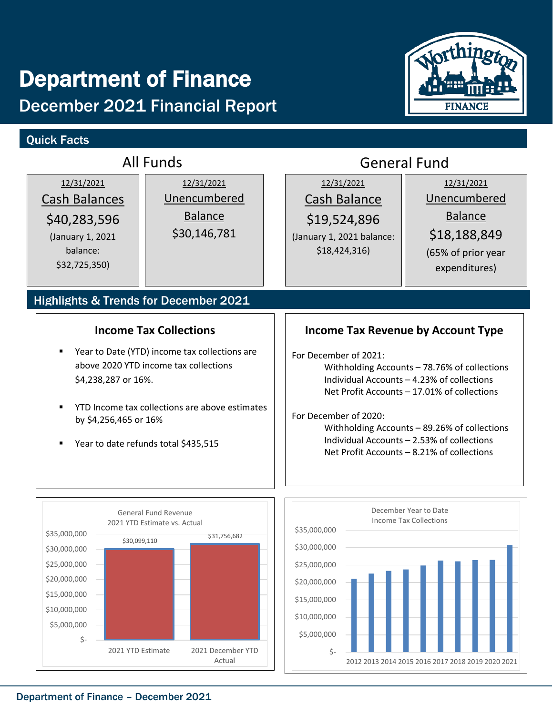# Department of Finance December 2021 Financial Report





**FINANCE**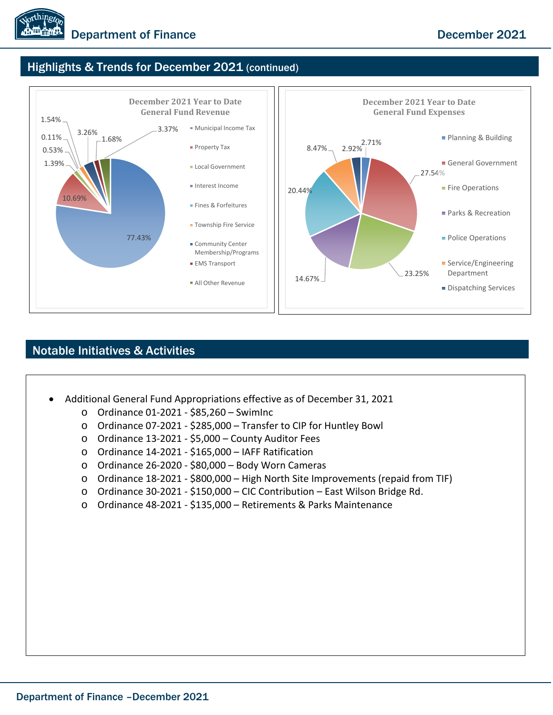

## Highlights & Trends for December 2021 (continued)



### Notable Initiatives & Activities

- Additional General Fund Appropriations effective as of December 31, 2021
	- o Ordinance 01-2021 \$85,260 SwimInc
	- o Ordinance 07-2021 \$285,000 Transfer to CIP for Huntley Bowl
	- o Ordinance 13-2021 \$5,000 County Auditor Fees
	- o Ordinance 14-2021 \$165,000 IAFF Ratification
	- o Ordinance 26-2020 \$80,000 Body Worn Cameras
	- o Ordinance 18-2021 \$800,000 High North Site Improvements (repaid from TIF)
	- o Ordinance 30-2021 \$150,000 CIC Contribution East Wilson Bridge Rd.
	- o Ordinance 48-2021 \$135,000 Retirements & Parks Maintenance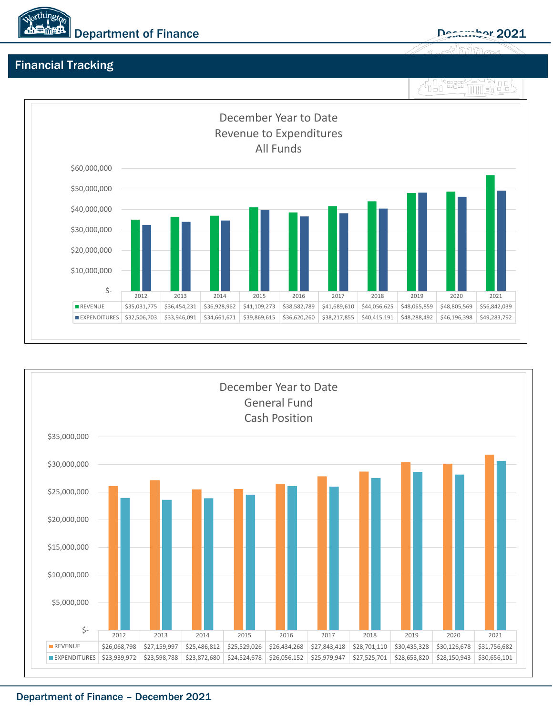

# Financial Tracking



![](_page_17_Figure_5.jpeg)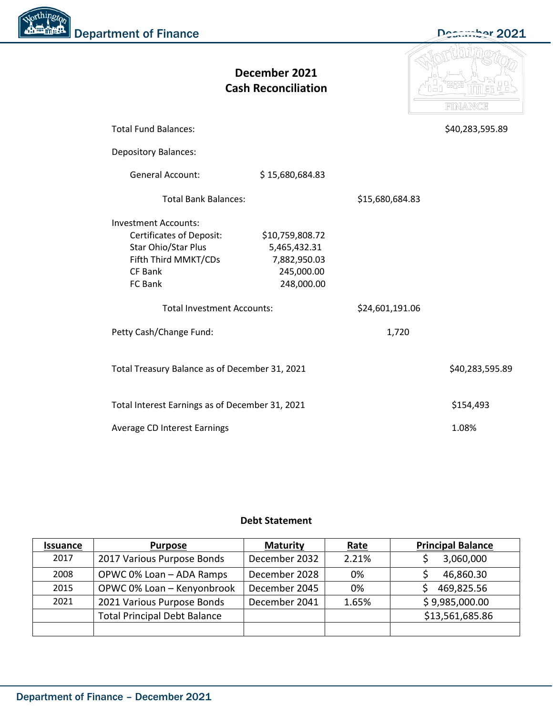![](_page_18_Picture_0.jpeg)

![](_page_18_Picture_1.jpeg)

|                                                                                                                                            | December 2021<br><b>Cash Reconciliation</b>                                 |                 | FINANCE         |
|--------------------------------------------------------------------------------------------------------------------------------------------|-----------------------------------------------------------------------------|-----------------|-----------------|
| <b>Total Fund Balances:</b>                                                                                                                |                                                                             |                 | \$40,283,595.89 |
| <b>Depository Balances:</b>                                                                                                                |                                                                             |                 |                 |
| <b>General Account:</b>                                                                                                                    | \$15,680,684.83                                                             |                 |                 |
| <b>Total Bank Balances:</b>                                                                                                                |                                                                             | \$15,680,684.83 |                 |
| <b>Investment Accounts:</b><br><b>Certificates of Deposit:</b><br>Star Ohio/Star Plus<br>Fifth Third MMKT/CDs<br><b>CF Bank</b><br>FC Bank | \$10,759,808.72<br>5,465,432.31<br>7,882,950.03<br>245,000.00<br>248,000.00 |                 |                 |
| <b>Total Investment Accounts:</b>                                                                                                          |                                                                             | \$24,601,191.06 |                 |
| Petty Cash/Change Fund:                                                                                                                    |                                                                             | 1,720           |                 |
| Total Treasury Balance as of December 31, 2021                                                                                             |                                                                             |                 | \$40,283,595.89 |
| Total Interest Earnings as of December 31, 2021                                                                                            |                                                                             |                 | \$154,493       |
| <b>Average CD Interest Earnings</b>                                                                                                        |                                                                             |                 | 1.08%           |

#### **Debt Statement**

| <b>Issuance</b> | <b>Purpose</b>                      | <b>Maturity</b> | Rate  | <b>Principal Balance</b> |
|-----------------|-------------------------------------|-----------------|-------|--------------------------|
| 2017            | 2017 Various Purpose Bonds          | December 2032   | 2.21% | 3,060,000                |
| 2008            | OPWC 0% Loan - ADA Ramps            | December 2028   | 0%    | 46,860.30                |
| 2015            | OPWC 0% Loan - Kenyonbrook          | December 2045   | 0%    | 469,825.56               |
| 2021            | 2021 Various Purpose Bonds          | December 2041   | 1.65% | \$9,985,000.00           |
|                 | <b>Total Principal Debt Balance</b> |                 |       | \$13,561,685.86          |
|                 |                                     |                 |       |                          |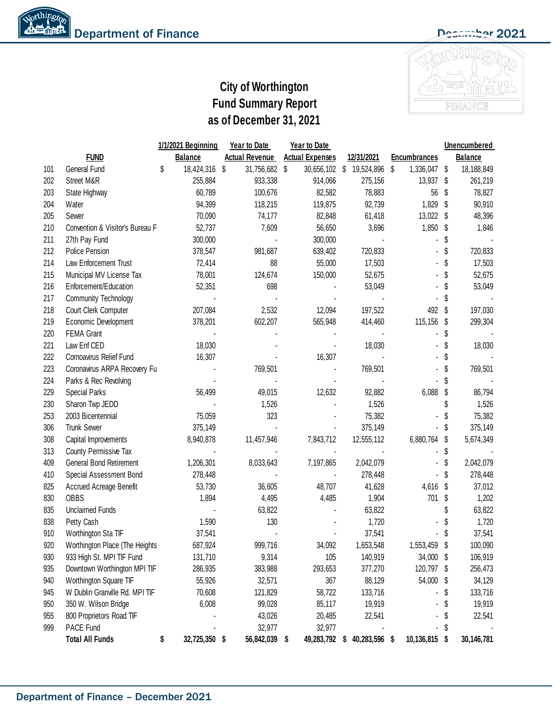# **City of Worthington Fund Summary Report as of December 31, 2021**

![](_page_19_Picture_3.jpeg)

#### **1/1/2021 Beginning Balance Year to Date Actual Revenue Year to Date Actual Expenses 12/31/2021 Encumbrances Unencumbered Balance** 101 General Fund \$ 18,424,316 \$ 31,756,682 \$ 30,656,102 \$ 19,524,896 \$ 1,336,047 \$ 18,188,849 202 Street M&R 255,884 933,338 914,066 275,156 13,937 \$ 261,219 203 State Highway 60,789 100,676 82,582 78,883 56 \$ 78,827 204 Water 94,399 118,215 119,875 92,739 1,829 \$ 90,910 205 Sewer 70,090 74,177 82,848 61,418 13,022 \$ 48,396 210 Convention & Visitor's Bureau F 52,737 7,609 56,650 3,696 1,850 \$ 1,846 211 27th Pay Fund 300,000 - 300,000 - - \$ - 212 Police Pension 378,547 981,687 639,402 720,833 - \$ 720,833 214 Law Enforcement Trust 72,414 88 55,000 17,503 - \$ 17,503 215 Municipal MV License Tax  $78,001$   $124,674$   $150,000$   $52,675$   $\cdot$  \$ 52,675 216 Enforcement/Education 52,351 698 698 53,049 53,049 53,049 217 Community Technology **5** - **1999** - 1999 - 1999 - 1999 - 1999 - 1999 - 1999 - 1999 - 1999 - 1999 - 1999 - 1999 - 1999 - 1999 - 1999 - 1999 - 1999 - 1999 - 1999 - 1999 - 1999 - 1999 - 1999 - 1999 - 1999 - 1999 - 1999 - 218 Court Clerk Computer 207,084 2,532 12,094 197,522 492 \$ 197,030 219 Economic Development 378,201 602,207 565,948 414,460 115,156 \$ 299,304 220 FEMA Grant - - - - - \$ - 221 Law Enf CED 18,030 18,030 \$ 18,030 222 Cornoavirus Relief Fund 16,307 16,307 - 16,307 16,307 - - \$ 223 Coronavirus ARPA Recovery Fun - 769,501 - 769,501 - \$ 769,501 224 Parks & Rec Revolving - - - - - \$ - 229 Special Parks 56,499 56,499 - 49,015 - 12,632 - 92,882 - 6,088 \$ 86,794 230 Sharon Twp JEDD **1,526** - 1,526 - 1,526 5 1,526 253 2003 Bicentennial 75,059 323 - 75,382 - \$ 75,382 306 Trunk Sewer 375,149 - - 375,149 - \$ 375,149 308 Capital Improvements 8,940,878 11,457,946 7,843,712 12,555,112 6,880,764 \$ 5,674,349 313 County Permissive Tax - - - - - \$ - 409 General Bond Retirement 1,206,301 8,033,643 7,197,865 2,042,079 - \$ 2,042,079 410 Special Assessment Bond 278,448 - 278,448 - 278,448 - 278,448 - 278,448 825 Accrued Acreage Benefit 53,730 36,605 48,707 41,628 4,616 \$ 37,012 830 OBBS 1,894 4,495 4,485 1,904 /01 \$ 1,202 835 Unclaimed Funds - 63,822 - 63,822 - 63,822 - 63,822 - 53,822 - 53,822 - 53,822 - 53,822 - 53,822 - 53,822 - 53,822 - 53,822 - 53,822 - 53,822 - 53,822 - 53,822 - 53,822 - 53,822 - 53,822 - 53,822 - 53,822 - 53,822 - 53 838 Petty Cash 1,590 130 - 1,720 - \$ 1,720 910 Worthington Sta TIF 37,541 37,541 - 37,541 37,541 - 37,541 920 Worthington Place (The Heights 687,924 999,716 34,092 1,653,548 1,553,459 \$ 100,090 930 933 High St. MPI TIF Fund 131,710 9,314 105 140,919 34,000 \$ 106,919 935 Downtown Worthington MPI TIF 286,935 383,988 293,653 377,270 120,797 \$ 256,473 940 Worthington Square TIF  $55,926$   $32,571$   $367$   $88,129$   $54,000$  \$  $34,129$ 945 W Dublin Granville Rd. MPI TIF 70,608 121,829 58,722 133,716 - \$ 133,716 950 350 W. Wilson Bridge 6,008 99,028 85,117 19,919 - \$ 19,919 955 800 Proprietors Road TIF And According the control of the 43,026 20,485 22,541 - \$ 22,541 999 PACE Fund - 32,977 32,977 - - \$ - **Total All Funds \$ 32,725,350 \$ 56,842,039 \$ 49,283,792 \$ 40,283,596 \$ 10,136,815 \$ 30,146,781 FUND**